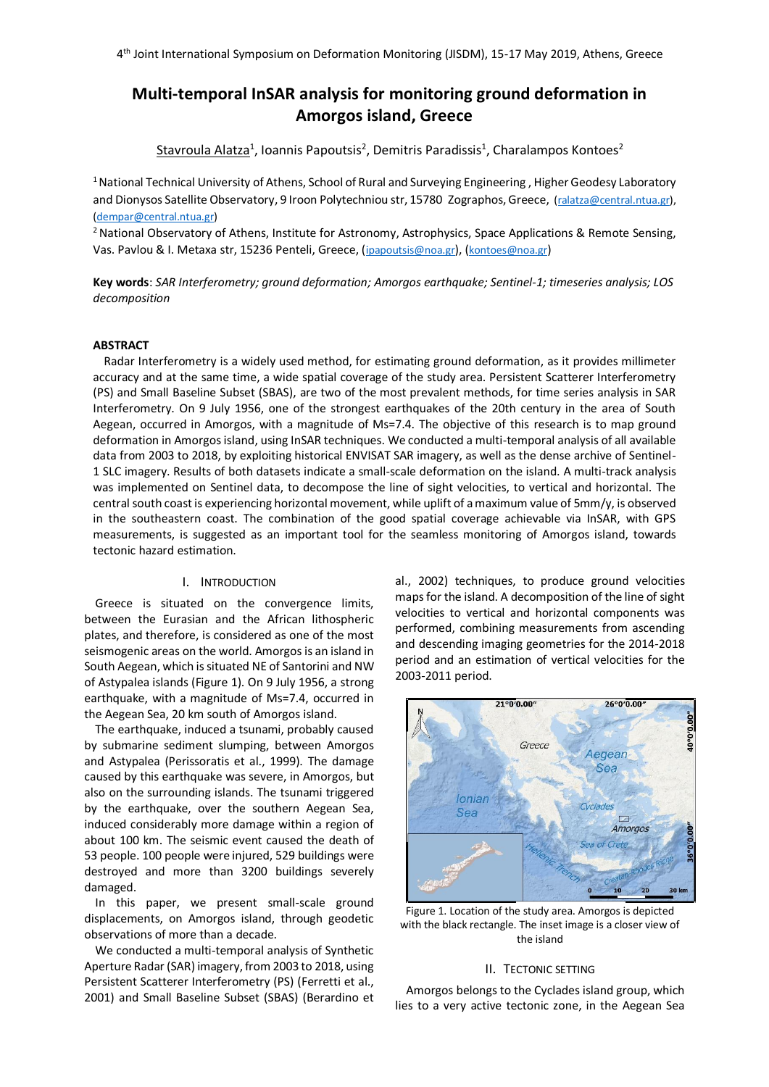# **Multi-temporal InSAR analysis for monitoring ground deformation in Amorgos island, Greece**

Stavroula Alatza<sup>1</sup>, Ioannis Papoutsis<sup>2</sup>, Demitris Paradissis<sup>1</sup>, Charalampos Kontoes<sup>2</sup>

<sup>1</sup> National Technical University of Athens, School of Rural and Surveying Engineering, Higher Geodesy Laboratory and Dionysos Satellite Observatory, 9 Iroon Polytechniou str, 15780 Zographos, Greece, [\(ralatza@central.ntua.](mailto:author1@email.com)gr), [\(dempar@central.ntua.gr\)](mailto:author3@email.com)

<sup>2</sup> National Observatory of Athens, Institute for Astronomy, Astrophysics, Space Applications & Remote Sensing, Vas. Pavlou & I. Metaxa str, 15236 Penteli, Greece, (ipapoutsis@noa.gr), ([kontoes@noa.gr](mailto:kontoes@noa.gr))

**Key words**: *SAR Interferometry; ground deformation; Amorgos earthquake; Sentinel-1; timeseries analysis; LOS decomposition*

# **ABSTRACT**

Radar Interferometry is a widely used method, for estimating ground deformation, as it provides millimeter accuracy and at the same time, a wide spatial coverage of the study area. Persistent Scatterer Interferometry (PS) and Small Baseline Subset (SBAS), are two of the most prevalent methods, for time series analysis in SAR Interferometry. On 9 July 1956, one of the strongest earthquakes of the 20th century in the area of South Aegean, occurred in Amorgos, with a magnitude of Ms=7.4. The objective of this research is to map ground deformation in Amorgos island, using InSAR techniques. We conducted a multi-temporal analysis of all available data from 2003 to 2018, by exploiting historical ENVISAT SAR imagery, as well as the dense archive of Sentinel-1 SLC imagery. Results of both datasets indicate a small-scale deformation on the island. A multi-track analysis was implemented on Sentinel data, to decompose the line of sight velocities, to vertical and horizontal. The central south coast is experiencing horizontal movement, while uplift of a maximum value of 5mm/y, is observed in the southeastern coast. The combination of the good spatial coverage achievable via InSAR, with GPS measurements, is suggested as an important tool for the seamless monitoring of Amorgos island, towards tectonic hazard estimation.

#### I. INTRODUCTION

Greece is situated on the convergence limits, between the Eurasian and the African lithospheric plates, and therefore, is considered as one of the most seismogenic areas on the world. Amorgos is an island in South Aegean, which is situated NE of Santorini and NW of Astypalea islands (Figure 1). On 9 July 1956, a strong earthquake, with a magnitude of Ms=7.4, occurred in the Aegean Sea, 20 km south of Amorgos island.

The earthquake, induced a tsunami, probably caused by submarine sediment slumping, between Amorgos and Astypalea (Perissoratis et al., 1999). The damage caused by this earthquake was severe, in Amorgos, but also on the surrounding islands. The tsunami triggered by the earthquake, over the southern Aegean Sea, induced considerably more damage within a region of about 100 km. The seismic event caused the death of 53 people. 100 people were injured, 529 buildings were destroyed and more than 3200 buildings severely damaged.

In this paper, we present small-scale ground displacements, on Amorgos island, through geodetic observations of more than a decade.

We conducted a multi-temporal analysis of Synthetic Aperture Radar (SAR) imagery, from 2003 to 2018, using Persistent Scatterer Interferometry (PS) (Ferretti et al., 2001) and Small Baseline Subset (SBAS) (Berardino et al., 2002) techniques, to produce ground velocities maps for the island. A decomposition of the line of sight velocities to vertical and horizontal components was performed, combining measurements from ascending and descending imaging geometries for the 2014-2018 period and an estimation of vertical velocities for the 2003-2011 period.



Figure 1. Location of the study area. Amorgos is depicted with the black rectangle. The inset image is a closer view of the island

# II. TECTONIC SETTING

Amorgos belongs to the Cyclades island group, which lies to a very active tectonic zone, in the Aegean Sea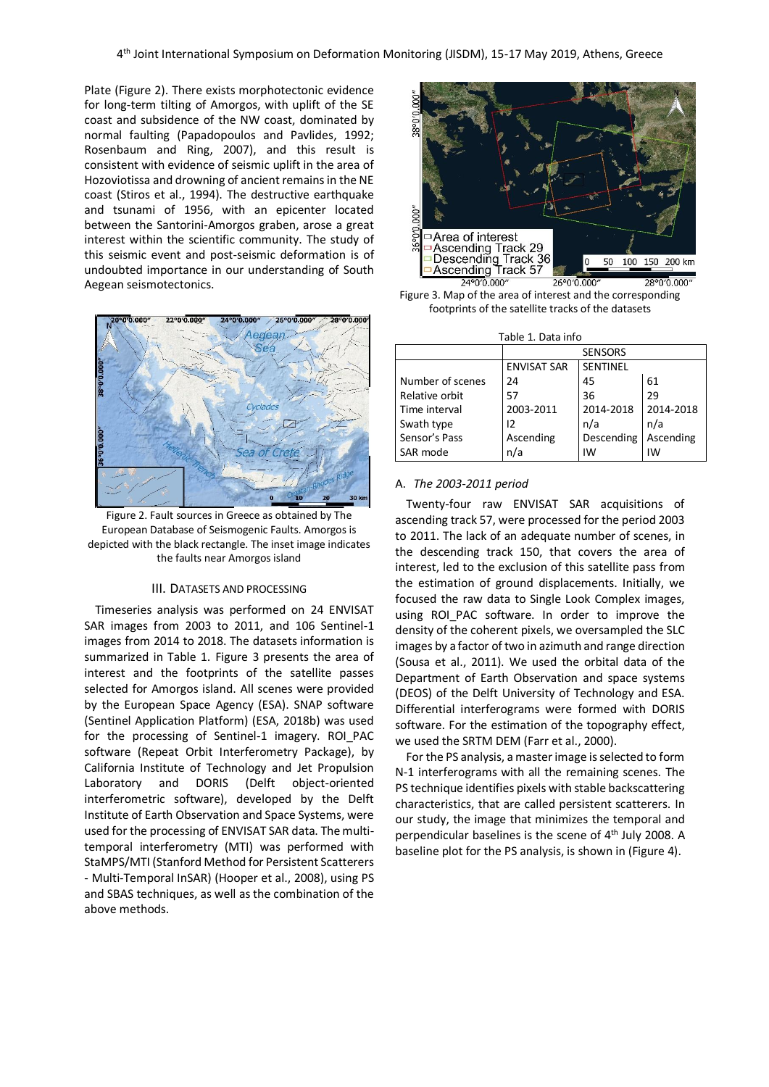Plate (Figure 2). There exists morphotectonic evidence for long-term tilting of Amorgos, with uplift of the SE coast and subsidence of the NW coast, dominated by normal faulting (Papadopoulos and Pavlides, 1992; Rosenbaum and Ring, 2007), and this result is consistent with evidence of seismic uplift in the area of Hozoviotissa and drowning of ancient remains in the NE coast (Stiros et al., 1994). The destructive earthquake and tsunami of 1956, with an epicenter located between the Santorini-Amorgos graben, arose a great interest within the scientific community. The study of this seismic event and post-seismic deformation is of undoubted importance in our understanding of South Aegean seismotectonics.



Figure 2. Fault sources in Greece as obtained by The European Database of Seismogenic Faults. Amorgos is depicted with the black rectangle. The inset image indicates the faults near Amorgos island

# III. DATASETS AND PROCESSING

Timeseries analysis was performed on 24 ENVISAT SAR images from 2003 to 2011, and 106 Sentinel-1 images from 2014 to 2018. The datasets information is summarized in Table 1. Figure 3 presents the area of interest and the footprints of the satellite passes selected for Amorgos island. All scenes were provided by the European Space Agency (ESA). SNAP software (Sentinel Application Platform) (ESA, 2018b) was used for the processing of Sentinel-1 imagery. ROI\_PAC software (Repeat Orbit Interferometry Package), by California Institute of Technology and Jet Propulsion Laboratory and DORIS (Delft object-oriented interferometric software), developed by the Delft Institute of Earth Observation and Space Systems, were used for the processing of ENVISAT SAR data. The multitemporal interferometry (MTI) was performed with StaMPS/MTI (Stanford Method for Persistent Scatterers - Multi-Temporal InSAR) (Hooper et al., 2008), using PS and SBAS techniques, as well as the combination of the above methods.



Figure 3. Map of the area of interest and the corresponding footprints of the satellite tracks of the datasets

| Table 1. Data info |                    |                 |           |
|--------------------|--------------------|-----------------|-----------|
|                    | <b>SENSORS</b>     |                 |           |
|                    | <b>ENVISAT SAR</b> | <b>SENTINEL</b> |           |
| Number of scenes   | 24                 | 45              | 61        |
| Relative orbit     | 57                 | 36              | 29        |
| Time interval      | 2003-2011          | 2014-2018       | 2014-2018 |
| Swath type         | 12                 | n/a             | n/a       |
| Sensor's Pass      | Ascending          | Descending      | Ascending |
| SAR mode           | n/a                | IW              | IW        |

#### A. *The 2003-2011 period*

Twenty-four raw ENVISAT SAR acquisitions of ascending track 57, were processed for the period 2003 to 2011. The lack of an adequate number of scenes, in the descending track 150, that covers the area of interest, led to the exclusion of this satellite pass from the estimation of ground displacements. Initially, we focused the raw data to Single Look Complex images, using ROI PAC software. In order to improve the density of the coherent pixels, we oversampled the SLC images by a factor of two in azimuth and range direction (Sousa et al., 2011). We used the orbital data of the Department of Earth Observation and space systems (DEOS) of the Delft University of Technology and ESA. Differential interferograms were formed with DORIS software. For the estimation of the topography effect, we used the SRTM DEM (Farr et al., 2000).

For the PS analysis, a master image is selected to form N-1 interferograms with all the remaining scenes. The PS technique identifies pixels with stable backscattering characteristics, that are called persistent scatterers. In our study, the image that minimizes the temporal and perpendicular baselines is the scene of  $4<sup>th</sup>$  July 2008. A baseline plot for the PS analysis, is shown in (Figure 4).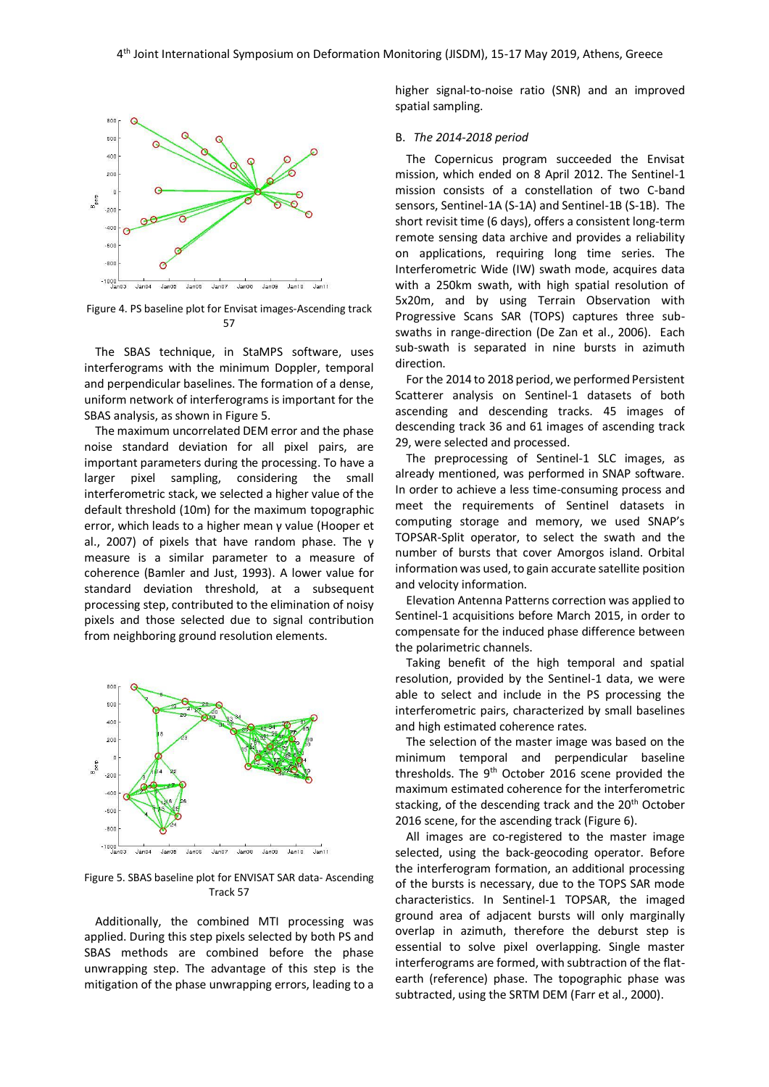

Figure 4. PS baseline plot for Envisat images-Ascending track 57

The SBAS technique, in StaMPS software, uses interferograms with the minimum Doppler, temporal and perpendicular baselines. The formation of a dense, uniform network of interferograms is important for the SBAS analysis, as shown in Figure 5.

The maximum uncorrelated DEM error and the phase noise standard deviation for all pixel pairs, are important parameters during the processing. To have a larger pixel sampling, considering the small interferometric stack, we selected a higher value of the default threshold (10m) for the maximum topographic error, which leads to a higher mean γ value (Hooper et al., 2007) of pixels that have random phase. The γ measure is a similar parameter to a measure of coherence (Bamler and Just, 1993). A lower value for standard deviation threshold, at a subsequent processing step, contributed to the elimination of noisy pixels and those selected due to signal contribution from neighboring ground resolution elements.



Figure 5. SBAS baseline plot for ENVISAT SAR data- Ascending Track 57

Additionally, the combined MTI processing was applied. During this step pixels selected by both PS and SBAS methods are combined before the phase unwrapping step. The advantage of this step is the mitigation of the phase unwrapping errors, leading to a

higher signal-to-noise ratio (SNR) and an improved spatial sampling.

# B. *The 2014-2018 period*

The Copernicus program succeeded the Envisat mission, which ended on 8 April 2012. The Sentinel-1 mission consists of a constellation of two C-band sensors, Sentinel-1A (S-1A) and Sentinel-1B (S-1B). The short revisit time (6 days), offers a consistent long-term remote sensing data archive and provides a reliability on applications, requiring long time series. The Interferometric Wide (IW) swath mode, acquires data with a 250km swath, with high spatial resolution of 5x20m, and by using Terrain Observation with Progressive Scans SAR (TOPS) captures three subswaths in range-direction (De Zan et al., 2006). Each sub-swath is separated in nine bursts in azimuth direction.

For the 2014 to 2018 period, we performed Persistent Scatterer analysis on Sentinel-1 datasets of both ascending and descending tracks. 45 images of descending track 36 and 61 images of ascending track 29, were selected and processed.

The preprocessing of Sentinel-1 SLC images, as already mentioned, was performed in SNAP software. In order to achieve a less time-consuming process and meet the requirements of Sentinel datasets in computing storage and memory, we used SNAP's TOPSAR-Split operator, to select the swath and the number of bursts that cover Amorgos island. Orbital information was used, to gain accurate satellite position and velocity information.

Elevation Antenna Patterns correction was applied to Sentinel-1 acquisitions before March 2015, in order to compensate for the induced phase difference between the polarimetric channels.

Taking benefit of the high temporal and spatial resolution, provided by the Sentinel-1 data, we were able to select and include in the PS processing the interferometric pairs, characterized by small baselines and high estimated coherence rates.

The selection of the master image was based on the minimum temporal and perpendicular baseline thresholds. The 9<sup>th</sup> October 2016 scene provided the maximum estimated coherence for the interferometric stacking, of the descending track and the 20<sup>th</sup> October 2016 scene, for the ascending track (Figure 6).

All images are co-registered to the master image selected, using the back-geocoding operator. Before the interferogram formation, an additional processing of the bursts is necessary, due to the TOPS SAR mode characteristics. In Sentinel-1 TOPSAR, the imaged ground area of adjacent bursts will only marginally overlap in azimuth, therefore the deburst step is essential to solve pixel overlapping. Single master interferograms are formed, with subtraction of the flatearth (reference) phase. The topographic phase was subtracted, using the SRTM DEM (Farr et al., 2000).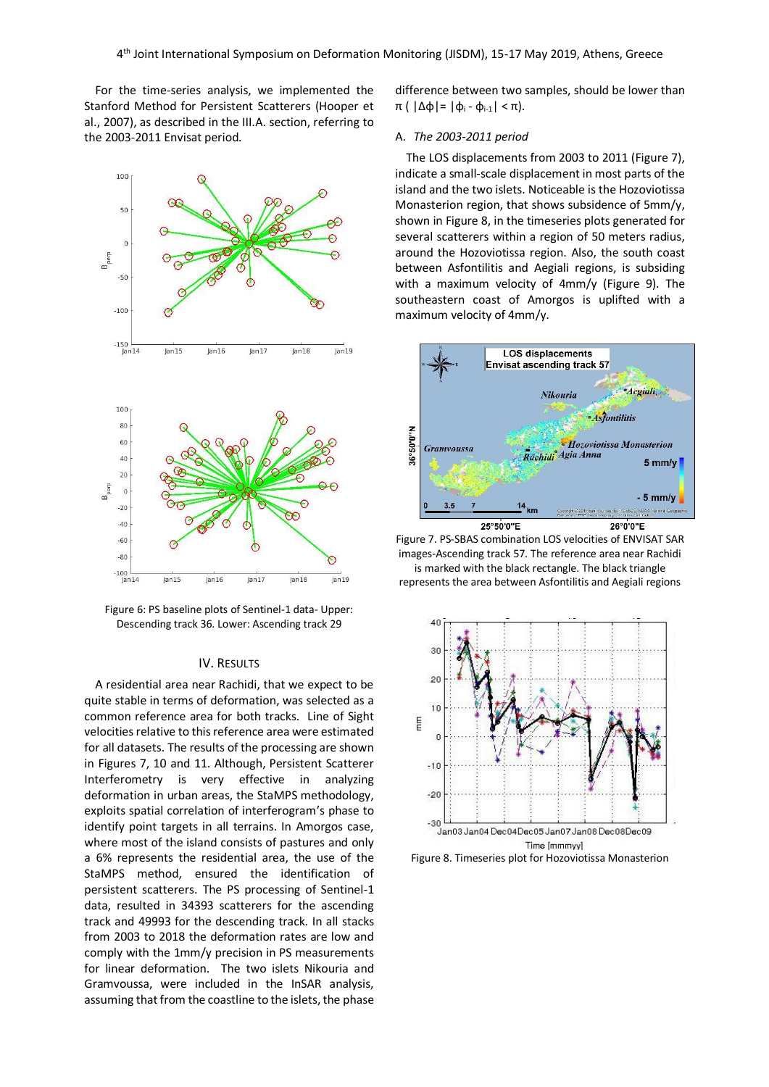For the time-series analysis, we implemented the Stanford Method for Persistent Scatterers (Hooper et al., 2007), as described in the III.A. section, referring to the 2003-2011 Envisat period.



Figure 6: PS baseline plots of Sentinel-1 data- Upper: Descending track 36. Lower: Ascending track 29

## IV. RESULTS

A residential area near Rachidi, that we expect to be quite stable in terms of deformation, was selected as a common reference area for both tracks. Line of Sight velocities relative to this reference area were estimated for all datasets. The results of the processing are shown in Figures 7, 10 and 11. Although, Persistent Scatterer Interferometry is very effective in analyzing deformation in urban areas, the StaMPS methodology, exploits spatial correlation of interferogram's phase to identify point targets in all terrains. In Amorgos case, where most of the island consists of pastures and only a 6% represents the residential area, the use of the StaMPS method, ensured the identification of persistent scatterers. The PS processing of Sentinel-1 data, resulted in 34393 scatterers for the ascending track and 49993 for the descending track. In all stacks from 2003 to 2018 the deformation rates are low and comply with the 1mm/y precision in PS measurements for linear deformation. The two islets Nikouria and Gramvoussa, were included in the InSAR analysis, assuming that from the coastline to the islets, the phase

difference between two samples, should be lower than π ( |Δφ|= |φ<sup>i</sup> - φi-1| < π).

## A. *The 2003-2011 period*

The LOS displacements from 2003 to 2011 (Figure 7), indicate a small-scale displacement in most parts of the island and the two islets. Noticeable is the Hozoviotissa Monasterion region, that shows subsidence of 5mm/y, shown in Figure 8, in the timeseries plots generated for several scatterers within a region of 50 meters radius, around the Hozoviotissa region. Also, the south coast between Asfontilitis and Aegiali regions, is subsiding with a maximum velocity of 4mm/y (Figure 9). The southeastern coast of Amorgos is uplifted with a maximum velocity of 4mm/y.



Figure 7. PS-SBAS combination LOS velocities of ENVISAT SAR images-Ascending track 57. The reference area near Rachidi is marked with the black rectangle. The black triangle represents the area between Asfontilitis and Aegiali regions



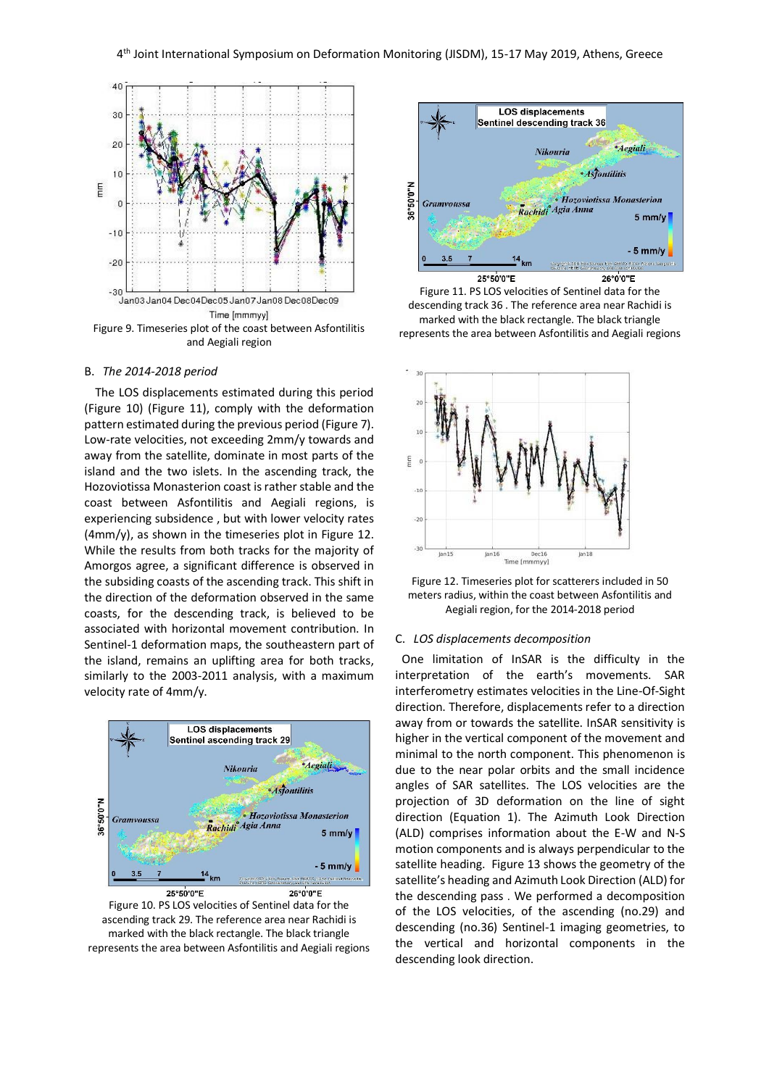

#### B. *The 2014-2018 period*

The LOS displacements estimated during this period (Figure 10) (Figure 11), comply with the deformation pattern estimated during the previous period (Figure 7). Low-rate velocities, not exceeding 2mm/y towards and away from the satellite, dominate in most parts of the island and the two islets. In the ascending track, the Hozoviotissa Monasterion coast is rather stable and the coast between Asfontilitis and Aegiali regions, is experiencing subsidence , but with lower velocity rates (4mm/y), as shown in the timeseries plot in Figure 12. While the results from both tracks for the majority of Amorgos agree, a significant difference is observed in the subsiding coasts of the ascending track. This shift in the direction of the deformation observed in the same coasts, for the descending track, is believed to be associated with horizontal movement contribution. In Sentinel-1 deformation maps, the southeastern part of the island, remains an uplifting area for both tracks, similarly to the 2003-2011 analysis, with a maximum velocity rate of 4mm/y.



Figure 10. PS LOS velocities of Sentinel data for the ascending track 29. The reference area near Rachidi is marked with the black rectangle. The black triangle represents the area between Asfontilitis and Aegiali regions



Figure 11. PS LOS velocities of Sentinel data for the descending track 36 . The reference area near Rachidi is marked with the black rectangle. The black triangle represents the area between Asfontilitis and Aegiali regions





#### C. *LOS displacements decomposition*

 One limitation of InSAR is the difficulty in the interpretation of the earth's movements. SAR interferometry estimates velocities in the Line-Of-Sight direction. Therefore, displacements refer to a direction away from or towards the satellite. InSAR sensitivity is higher in the vertical component of the movement and minimal to the north component. This phenomenon is due to the near polar orbits and the small incidence angles of SAR satellites. The LOS velocities are the projection of 3D deformation on the line of sight direction (Equation 1). The Azimuth Look Direction (ALD) comprises information about the E-W and N-S motion components and is always perpendicular to the satellite heading. Figure 13 shows the geometry of the satellite's heading and Azimuth Look Direction (ALD) for the descending pass . We performed a decomposition of the LOS velocities, of the ascending (no.29) and descending (no.36) Sentinel-1 imaging geometries, to the vertical and horizontal components in the descending look direction.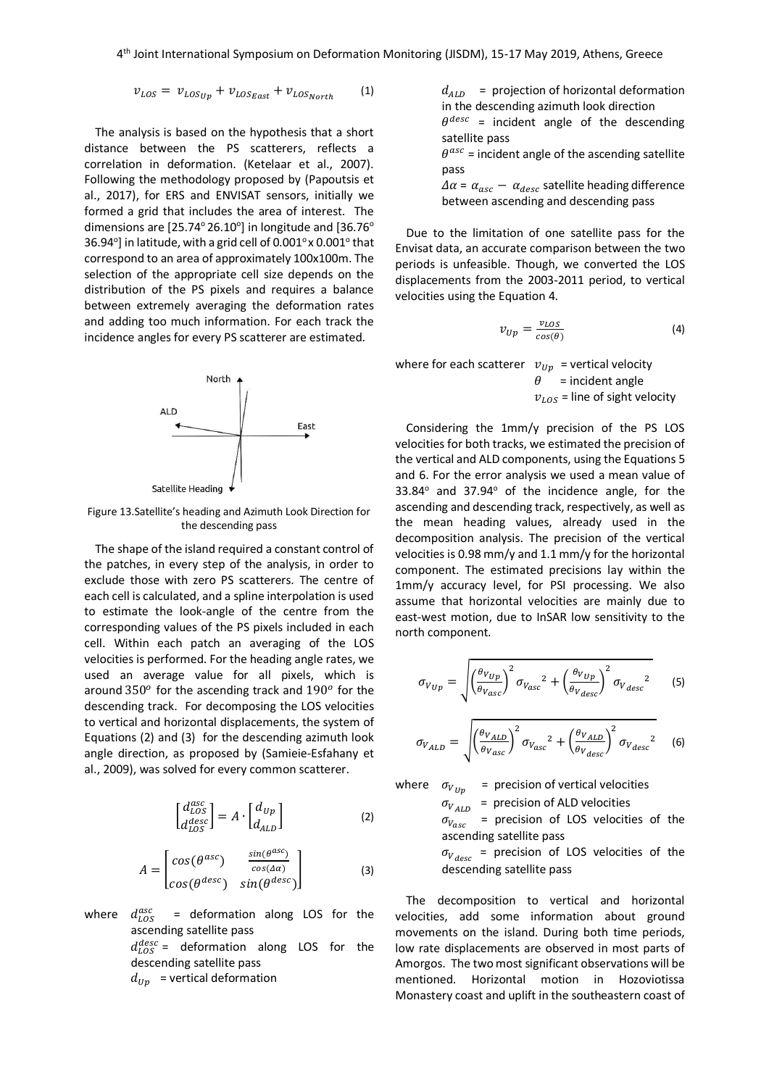$$
v_{LOS} = v_{LOSup} + v_{LOS_{East}} + v_{LOS_{North}} \tag{1}
$$

The analysis is based on the hypothesis that a short distance between the PS scatterers, reflects a correlation in deformation. (Ketelaar et al., 2007). Following the methodology proposed by (Papoutsis et al., 2017), for ERS and ENVISAT sensors, initially we formed a grid that includes the area of interest. The dimensions are  $[25.74^{\circ} 26.10^{\circ}]$  in longitude and  $[36.76^{\circ}]$ 36.94 $^{\circ}$ ] in latitude, with a grid cell of 0.001 $^{\circ}$  x 0.001 $^{\circ}$  that correspond to an area of approximately 100x100m. The selection of the appropriate cell size depends on the distribution of the PS pixels and requires a balance between extremely averaging the deformation rates and adding too much information. For each track the incidence angles for every PS scatterer are estimated.



Figure 13.Satellite's heading and Azimuth Look Direction for the descending pass

The shape of the island required a constant control of the patches, in every step of the analysis, in order to exclude those with zero PS scatterers. The centre of each cell is calculated, and a spline interpolation is used to estimate the look-angle of the centre from the corresponding values of the PS pixels included in each cell. Within each patch an averaging of the LOS velocities is performed. For the heading angle rates, we used an average value for all pixels, which is around  $350^o$  for the ascending track and  $190^o$  for the descending track. For decomposing the LOS velocities to vertical and horizontal displacements, the system of Equations (2) and (3) for the descending azimuth look angle direction, as proposed by (Samieie-Esfahany et al., 2009), was solved for every common scatterer.

$$
\begin{bmatrix} d_{LOS}^{asc} \\ d_{LOS}^{desc} \end{bmatrix} = A \cdot \begin{bmatrix} d_{Up} \\ d_{ALD} \end{bmatrix}
$$
 (2)

$$
A = \begin{bmatrix} \cos(\theta^{asc}) & \frac{\sin(\theta^{asc})}{\cos(\Delta\alpha)} \\ \cos(\theta^{desc}) & \sin(\theta^{desc}) \end{bmatrix}
$$
 (3)

where  $d_{LOS}^{asc}$  = deformation along LOS for the ascending satellite pass

 $d_{LOS}^{desc}$  = deformation along LOS for the descending satellite pass

 $d_{Up}$  = vertical deformation

 $d_{ALD}$  = projection of horizontal deformation in the descending azimuth look direction  $\theta^{desc}$  = incident angle of the descending

satellite pass  $\theta^{asc}$  = incident angle of the ascending satellite pass

 $\Delta \alpha$  =  $\alpha_{asc}$  –  $\alpha_{desc}$  satellite heading difference between ascending and descending pass

Due to the limitation of one satellite pass for the Envisat data, an accurate comparison between the two periods is unfeasible. Though, we converted the LOS displacements from the 2003-2011 period, to vertical velocities using the Equation 4.

$$
v_{Up} = \frac{v_{LOS}}{cos(\theta)}
$$
 (4)

where for each scatterer  $v_{IIn}$  = vertical velocity

 $\theta$  = incident angle  $v_{LOS}$  = line of sight velocity

Considering the 1mm/y precision of the PS LOS velocities for both tracks, we estimated the precision of the vertical and ALD components, using the Equations 5 and 6. For the error analysis we used a mean value of  $33.84^\circ$  and  $37.94^\circ$  of the incidence angle, for the ascending and descending track, respectively, as well as the mean heading values, already used in the decomposition analysis. The precision of the vertical velocities is 0.98 mm/y and 1.1 mm/y for the horizontal component. The estimated precisions lay within the 1mm/y accuracy level, for PSI processing. We also assume that horizontal velocities are mainly due to east-west motion, due to InSAR low sensitivity to the north component.

$$
\sigma_{V_{Up}} = \sqrt{\left(\frac{\theta_{V_{Up}}}{\theta_{V_{asc}}}\right)^2 \sigma_{V_{asc}}^2 + \left(\frac{\theta_{V_{Up}}}{\theta_{V_{desc}}}\right)^2 \sigma_{V_{desc}}^2}
$$
 (5)

$$
\sigma_{V_{ALD}} = \sqrt{\left(\frac{\theta_{V_{ALD}}}{\theta_{V_{ASC}}}\right)^2 \sigma_{V_{ASC}}^2 + \left(\frac{\theta_{V_{ALD}}}{\theta_{V_{desc}}}\right)^2 \sigma_{V_{desc}}^2} \tag{6}
$$

where  $\sigma_{V_{IIn}}$  = precision of vertical velocities

 $\sigma_{V_{ALD}}$  = precision of ALD velocities

 $\sigma_{V_{asc}}$ = precision of LOS velocities of the ascending satellite pass

 $\sigma_{V_{desc}}$  = precision of LOS velocities of the descending satellite pass

The decomposition to vertical and horizontal velocities, add some information about ground movements on the island. During both time periods, low rate displacements are observed in most parts of Amorgos. The two most significant observations will be mentioned. Horizontal motion in Hozoviotissa Monastery coast and uplift in the southeastern coast of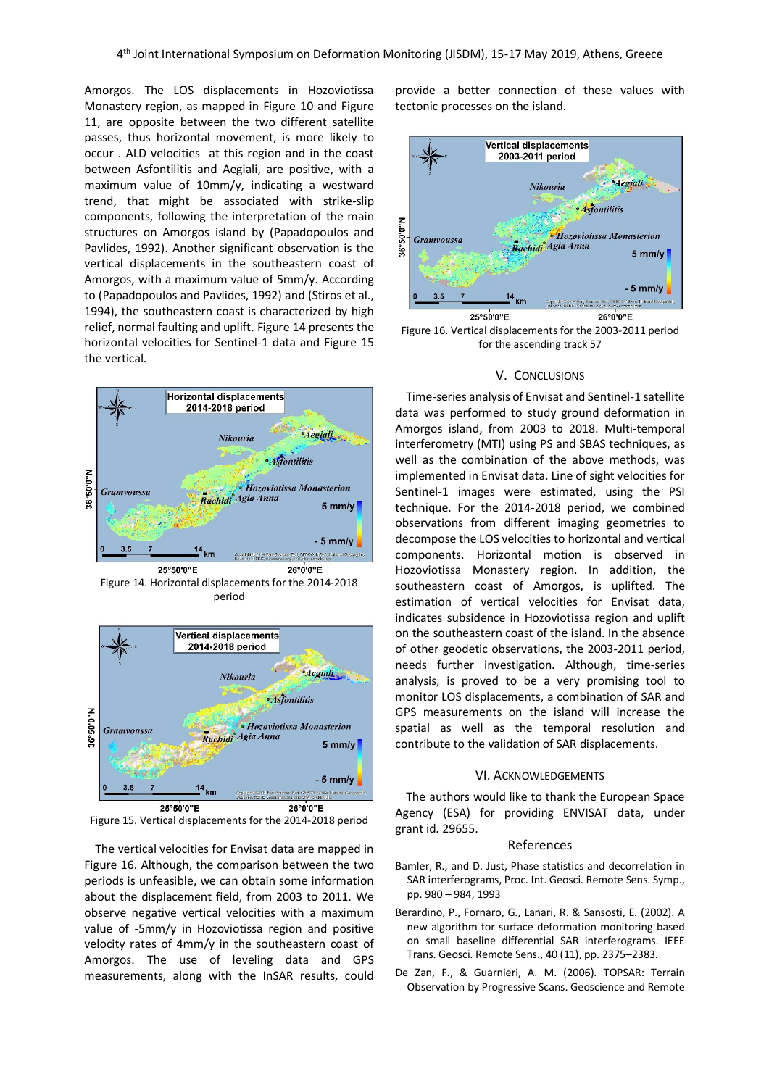Amorgos. The LOS displacements in Hozoviotissa Monastery region, as mapped in Figure 10 and Figure 11, are opposite between the two different satellite passes, thus horizontal movement, is more likely to occur . ALD velocities at this region and in the coast between Asfontilitis and Aegiali, are positive, with a maximum value of 10mm/y, indicating a westward trend, that might be associated with strike-slip components, following the interpretation of the main structures on Amorgos island by (Papadopoulos and Pavlides, 1992). Another significant observation is the vertical displacements in the southeastern coast of Amorgos, with a maximum value of 5mm/y. According to (Papadopoulos and Pavlides, 1992) and (Stiros et al., 1994), the southeastern coast is characterized by high relief, normal faulting and uplift. Figure 14 presents the horizontal velocities for Sentinel-1 data and Figure 15 the vertical.



period



Figure 15. Vertical displacements for the 2014-2018 period

The vertical velocities for Envisat data are mapped in Figure 16. Although, the comparison between the two periods is unfeasible, we can obtain some information about the displacement field, from 2003 to 2011. We observe negative vertical velocities with a maximum value of -5mm/y in Hozoviotissa region and positive velocity rates of 4mm/y in the southeastern coast of Amorgos. The use of leveling data and GPS measurements, along with the InSAR results, could provide a better connection of these values with tectonic processes on the island.



Figure 16. Vertical displacements for the 2003-2011 period for the ascending track 57

# V. CONCLUSIONS

Time-series analysis of Envisat and Sentinel-1 satellite data was performed to study ground deformation in Amorgos island, from 2003 to 2018. Multi-temporal interferometry (MTI) using PS and SBAS techniques, as well as the combination of the above methods, was implemented in Envisat data. Line of sight velocities for Sentinel-1 images were estimated, using the PSI technique. For the 2014-2018 period, we combined observations from different imaging geometries to decompose the LOS velocities to horizontal and vertical components. Horizontal motion is observed in Hozoviotissa Monastery region. In addition, the southeastern coast of Amorgos, is uplifted. The estimation of vertical velocities for Envisat data, indicates subsidence in Hozoviotissa region and uplift on the southeastern coast of the island. In the absence of other geodetic observations, the 2003-2011 period, needs further investigation. Although, time-series analysis, is proved to be a very promising tool to monitor LOS displacements, a combination of SAR and GPS measurements on the island will increase the spatial as well as the temporal resolution and contribute to the validation of SAR displacements.

# VI. ACKNOWLEDGEMENTS

The authors would like to thank the European Space Agency (ESA) for providing ENVISAT data, under grant id. 29655.

#### References

- Bamler, R., and D. Just, Phase statistics and decorrelation in SAR interferograms, Proc. Int. Geosci. Remote Sens. Symp., pp. 980 – 984, 1993
- Berardino, P., Fornaro, G., Lanari, R. & Sansosti, E. (2002). A new algorithm for surface deformation monitoring based on small baseline differential SAR interferograms. IEEE Trans. Geosci. Remote Sens., 40 (11), pp. 2375–2383.
- De Zan, F., & Guarnieri, A. M. (2006). TOPSAR: Terrain Observation by Progressive Scans. Geoscience and Remote